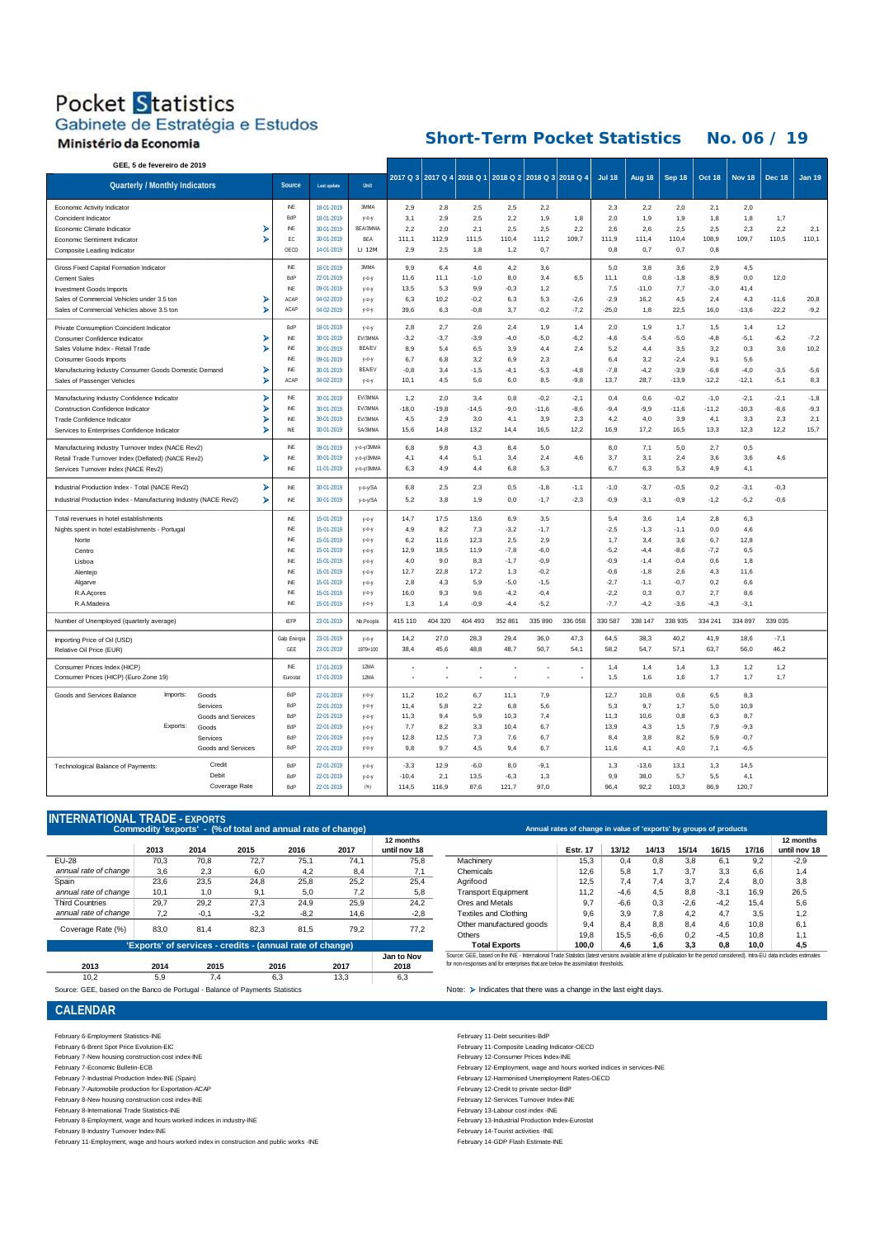## Pocket Statistics Gabinete de Estratégia e Estudos

## Ministério da Economia

## **Short-Term Pocket Statistics No. 06 / 19**

Economic Activity Indicator Coincident India Economic Climate Indicator<br>
Economic Sentiment Indicator<br>
> Economic Sentiment Indicato Composite Leading Indicator Gross Fixed Capital Formation Indicator Cement Sales . . . . . .<br>nent Goods Imports Sales of Commercial Vehicles under 3.5 ton<br>Sales of Commercial Vehicles above 3.5 ton Sales of Commercial Vehicles above 3.5 ton Private Consumption Coincident Indicator Consumer Confidence Indicator<br>
Sales Volume Index - Retail Trade Sales Volume Index - Retail Trade Consumer Goods Imports Manufacturing Industry Consumer Goods Domestic Demand<br>Sales of Passenger Vehicles Sales of Passenger Vehicles Manufacturing Industry Confidence Indicator<br>Construction Confidence Indicator<br>
> Construction Confidence Indicator<br>
Trade Confidence Indicator<br>
Trade Confidence Indicator Trade Confidence Indicator<br>Services to Enterprises Confidence Indicator<br>
Services to Enterprises Confidence Indicator Services to Enterprises Confid Manufacturing Industry Turnover Index (NACE Rev2) Retail Trade Turnover Index (Deflated) (NACE Rev2) Services Turnover Index (NACE Rev2) Industrial Production Index - Total (NACE Rev2) Š Total revenues in hotel establishments Nights spent in hotel establishments - Portugal Norte Centro Lisboa Alentejo Algarve R.A.Açores R.A.Madeira Number of Unemployed (quarterly average) Importing Price of Oil (USD) Relative Oil Price (EUR) Consumer Prices Index (HICP) Goods and Services Balance **Imports:** Goods Services Goods and Services Goods Services Goods and Services Technological Balance of Payments: Credit Debit Coverage Rate INE 18-01-2019 3MMA 2,9 2,8 2,5 **Quarterly / Monthly Indicators Source Last update Unit** 2017 Q 3 2017 Q 4 2018 Q 1 2018 Q 2 2018 Q 3 2018 Q 4 J Jul 18 Aug 18 Sep 18 Oct 18 Nov 18 Dec 18 J Jan 19 **GEE, 5 de fevereiro de 2019 27-01-2019** 1,8 1,8 1,7 INE 30-01-2019 BEA/3MMA 2,2 2,0 2,1 BdP 18-01-2019 y-o-y 3,1 2,9 2,5 2,2 1,9 1,8 2,0 1,9 1,9 2,1 2,0 2,5 2,2 2,3 2,2 2,0 108,9 109,7 110,5 110,1 OECD 14-01-2019 LI 12M 2,9 2,5 1,8 110,4 111,2 109,7 111,9 111,4 110,4 2,5 2,3 2,2 2,1 EC 30-01-2019 BEA 111,1 112,9 111,5 2,5 2,5 2,2 2,6 2,6 2,5 INE 18-01-2019 3MMA 9,9 6,4 1,2 0,7 0,8 0,7 0,7 0,8 -1,8 8,9 0,0 12,0 INE 09-01-2019 y-o-y 13,5 5,3 -1,0 8,0 3,4 6,5 11,1 0,8 3,6 2,9 4,5 BdP 22-01-2019 y-o-y 11,6 11.1 4,6 4,2 3,6 5,0 3,8 ACAP 04-02-2019 y-o-y 39,6 6,3 -0,2 6,3 5,3 -2,6 -2,9 16,2 7,7 -3,0 41,4 ACAP 04-02-2019 y-o-y 6.3 10.2 9,9 -0,3 1,2 7,5 -11,0 -0,8 3,7 -0,2 -7,2 -25,0 1,8 22,5 16,0 -13,6 -22,2 -9,2 4,5 2,4 4,3 -11,6 20,8 BdP 18-01-2019 y-o-y 2,8 2,7 2,6 2,4 1,9 1,4 2,0 1,9 1,7 1,5 1,4 1,2  $-4,8$   $-5,1$   $-6,2$   $-7,2$ INE 30-01-2019 BEA/EV 8,9 5,4 6,5<br>INE 09-01-2019 yo-y 6,7 6,8 3,2 INE 30-01-2019 EV/3MMA -3,2 -3,7 -3,9 -4,0 -5,0 -6,2 -4,6 -5,4 -5,0  $9,1$   $5,6$ INE 30-01-2019 BEA/EV -0,8 3,4 -1,5 6,9 2,3 6,4 3,2 -2,4 3,2 0,3 3,6 10,2  $09-01-2019$  y-o-y 3,9 4,4 2,4 5,2 4,4 3,5 6,0 8,5 -9,8 13,7 28,7 -13,9 -12,2 -12,1 -5,1 8,3  $-6,8$   $-4,0$   $-3,5$   $-5,6$ <br> $-12,2$   $-12,1$   $-5,1$   $8,3$ ACAP 04-02-2019 y-o-y 10,1 4,5 5,6 -4,1 -5,3 -4,8 -7,8 -4,2 -3,9 -0,2 -1,0 -2,1 -2,1 -1,8 INE 30-01-2019 EV/3MMA -18,0 -19,8 INE 30-01-2019 EV/3MMA 1,2 2,0 3,4 0,8 -0,2 -2,1 0,4 0,6 3,9 4,1 3,3 2,3 2,1 INE 30-01-2019 SA/3MMA 15,6 14,8 3,0 4,1 3,9 2,3 4,2 4,0  $-11,6$   $-11,2$   $-10,3$   $-8,6$   $-9,3$ INE 30-01-2019 EV/3MMA 4,5 2,9 -14,5 -9,0 -11,6 -8,6 -9,4 -9,9 INE 09-01-2019 y-o-y/3MMA 6,8 9,8 13,2 14,4 16,5 12,2 16,9 17,2 16,5 13,3 12,3 12,2 15,7 INE 11-01-2019 y-o-y/3MMA 6,3 4,9 5,1 3,4 2,4 4,6 3,7 3,1 5,0 2,7 0,5  $y \cdot o \cdot y/3MMA$  4,1 4,4 4,3 8,4 5,0 8,0 7,1 4,4 6,8 5,3 6,7 6,3 5,3 4,9 4,1 2,4 3,6 3,6 4,6 Industrial Production Index - Manufacturing Industry (NACE Rev2) **INE** 30-01-2019 y-o-y/SA 5,2 INE 30-01-2019 y-o-y/SA 6,8 2,5 2,3 0,5 -1,8 -1,1 -1,0 -3,7 3,8 1,9 0,0 -1,7 -2,3 -0,9 -3,1 -0,9 -1,2 -5,2 -0,6  $-0.5$  0.2  $-3.1$   $-0.3$ 2,8 6,3 INE 15-01-2019 y-o-y 4,9 8,2 7,3 INE 15-01-2019 y-o-y 14,7 17,5 13,6 6,9 3,5 1 5,4 3,6 1,4  $6,7$  12,8 INE 15-01-2019 y-o-y 12,9 18,5<br>INE 15-01-2019 y-o-y 4,0 9,0 2,5 2,9 1,7 3,4 3,6  $0,0$  4,6 INE 15-01-2019 y-o-y 6,2 11,6 12,3  $-3,2$   $-1,7$   $-2,5$   $-1,3$   $-1,1$  $-0.4$  0.6 1.8 INE 15-01-2019 y-o-y 12,7 22,8 8,3 -1,7 -0,9 -0,9 -1,4 -8,6 -7,2 6,5 INE 15-01-2019 y-o-y 4,0 9,0 11,9 -7,8 -6,0 -5,2 -4,4 -0,7 0,2 6,6 INE 15-01-2019 y-o-y 16,0 9,3<br>INE 15-01-2019 y-o-y 1.3 1.4 5,9 -5,0 -1,5 -2,7 -1,1 2,6 4,3 11,6 INE 15-01-2019 y-o-y 2,8 4,3 17,2 1,3 -0,2 -0,6 -1,8  $-3,6$   $-4,3$   $-3,1$ IEFP 23-01-2019 Nb.People 415 110 404 320 -0,9 -4,4 -5,2 -7,7 -4,2 0.7 2.7 86 15-01-2019 y-o-y 1,3 1,4 9,6 -4,2 -0,4 -2,2 0,3 GEE 23-01-2019 1979=100 38,4 45,6 28,3 29,4 36,0 47,3 64,5 38,3 338 935 334 241 334 897 339 035 Galp Energia 23-01-2019 y-o-y 14,2 27,0 404 493 352 861 335 890 336 058 330 587 338 147 48,8 48,7 50,7 54,1 58,2 54,7 57,1 63,7 56,0 46,2 40,2 41,9 18,6 -7,1 1,4 1,3 1,2 1,2 Consumer Prices (HICP) (Euro Zone 19) **Eurostat 17-01-2019** 12MA INE 17-01-2019 12MA **- - - -- -** 1,4 1,4 **Imports: Goods** 8dP 22-01-2019 y-o-y 11,2 BdP 22-01-2019 y-o-y 11,4 **- - -- -** 1,5 1,6 1,6 1,7 1,7 1,7 5,8 2,2 6,8 5,6 5,3 9,7 1,7 5,0 10,9 10,2 6,7 11,1 7,9 12,7 10,8 0,6 6,5 8,3 Exports: Goods 8.2 BdP 22-01-2019 y-o-y 7,7 8,2 BdP 22-01-2019 y-o-y 11,3 9,4 5,9 10,3 7,4 11,3 10,6 0,8 1,5 7,9 -9,3 BdP 22-01-2019 y-o-y 12,8 12,5 3,3 10,4 6,7 13,9 4,3 6,3 8,7 4,0 7,1 -6,5 BdP 22-01-2019 y-o-y -3,3 12,9 4,5 9,4 6,7 11,6 4,1 8,2 5,9 -0,7 BdP 22-01-2019 y-o-y 9,8 9,7 7,3 7,6 6,7 8,4 3,8 5,7 5,5 4,1 BdP 22-01-2019 (%) 114,5 116,9 13,5 -6,3 1,3 | 9,9 38,0 13,1 1,3 14,5 BdP 22-01-2019 y-o-y -10,4 2,1 -6,0 8,0 -9,1 1,3 -13,6 103,3 86,9 120,7 87,6 121,7 97,0 96,4 92,2

#### **INTERNATIONAL TRADE - EXPORTS**

|                        |      |        | $(1001$ column units units and turb of oriently $\sigma$ |        |      |                           |                                    |                 |
|------------------------|------|--------|----------------------------------------------------------|--------|------|---------------------------|------------------------------------|-----------------|
|                        | 2013 | 2014   | 2015                                                     | 2016   | 2017 | 12 months<br>until nov 18 |                                    | <b>Estr. 17</b> |
| EU-28                  | 70.3 | 70.8   | 72.7                                                     | 75.1   | 74.1 | 75.8                      | Machinery                          | 15,3            |
| annual rate of change  | 3.6  | 2.3    | 6.0                                                      | 4.2    | 8.4  | 7.1                       | Chemicals                          | 12.6            |
| Spain                  | 23.6 | 23.5   | 24.8                                                     | 25.8   | 25.2 | 25.4                      | Aarifood                           | 12.5            |
| annual rate of change  | 10.1 | 1.0    | 9.1                                                      | 5.0    | 7.2  | 5.8                       | <b>Transport Equipment</b>         | 11,2            |
| <b>Third Countries</b> | 29.7 | 29.2   | 27.3                                                     | 24.9   | 25.9 | 24.2                      | Ores and Metals                    | 9,7             |
| annual rate of change  | 7.2  | $-0.1$ | $-3.2$                                                   | $-8,2$ | 14.6 | $-2,8$                    | <b>Textiles and Clothing</b>       | 9,6             |
| Coverage Rate (%)      | 83.0 | 81.4   | 82.3                                                     | 81.5   | 79.2 | 77.2                      | Other manufactured goods<br>Others | 9,4<br>19.8     |

|                                                                               |      |      |      |      |            | ∪uers                                                                                                                                                                         | 19.0  | ת הו | -0.0 | U,Z |     | <b>IU.O</b> |  |
|-------------------------------------------------------------------------------|------|------|------|------|------------|-------------------------------------------------------------------------------------------------------------------------------------------------------------------------------|-------|------|------|-----|-----|-------------|--|
| 'Exports' of services - credits - (annual rate of change)                     |      |      |      |      |            | <b>Total Exports</b>                                                                                                                                                          | 100.0 | 4.6  |      | 3.3 | 0.8 | 10.0        |  |
|                                                                               |      |      |      |      | Jan to Nov | Source: GEE, based on the INE - International Trade Statistics (latest versions available at time of publication for the period considered). Intra-EU data includes estimates |       |      |      |     |     |             |  |
| 2013                                                                          | 2014 | 2015 | 2016 | 2017 | 2018       | for non-responses and for enterprises that are below the assimilation thresholds.                                                                                             |       |      |      |     |     |             |  |
| 10.2                                                                          |      |      | ხ.ა  | 13.3 | 6,3        |                                                                                                                                                                               |       |      |      |     |     |             |  |
| Course: OFF besides the Desire de Destruct. Delegas of Decorating Otellation. |      |      |      |      |            | Note: N. Indiantes that there was a shoppe in the last sight days                                                                                                             |       |      |      |     |     |             |  |

#### **CALENDAR**

February 6-Employment Statistics-INE February 11-Debt securities-BdP

February 6-Brent Spot Price Evolution-EIC<br>February 7-New housing construction cost index-INE<br>February 7-New housing construction cost index-INE

February 7-New housing construction cost index-INE<br>February 7-Economic Bulletin-ECB

February 7-Industrial Production Index-INE (Spain) February 12-Harmonised Unemployment Rates-OECD<br>February 7-Automobile production for Exportation-ACAP et al. (Spain) February 12-Credit to private sector-BdP February 7-Automobile production for Exportation-ACAP

February 8-New housing construction cost index-INE<br>February 8-International Trade Statistics-INE February 13-Labour 2012 12-a and 2012 12-a and 2012 12-a and 201<br>February 8-International Trade Statistics-INE

February 8-International Trade Statistics-INE

February 8-Employment, wage and hours worked indices in industry-INE February 13-Industrial Production Index-Eurostat<br>February 8-Industry Turnover Index-INE February 10-Industrial Production Index-Eurostates in February 14

February 8-Industry Turnover Index-INE

February 11-Employment, wage and hours worked index in construction and public works -INE February 14-GDP Flash Estimate-INE

|                                                           |      | $\mathbf{v}$ is the state of $\mathbf{v}$ | Commodity 'exports' - (% of total and annual rate of change) |        |      | Annual rates of change in value of 'exports' by groups of products |                              |                 |        |        |        |        |       |                           |  |  |
|-----------------------------------------------------------|------|-------------------------------------------|--------------------------------------------------------------|--------|------|--------------------------------------------------------------------|------------------------------|-----------------|--------|--------|--------|--------|-------|---------------------------|--|--|
|                                                           | 2013 | 2014                                      | 2015                                                         | 2016   | 2017 | 12 months<br>until nov 18                                          |                              | <b>Estr. 17</b> | 13/12  | 14/13  | 15/14  | 16/15  | 17/16 | 12 months<br>until nov 18 |  |  |
|                                                           | 70.3 | 70.8                                      | 72.7                                                         | 75,1   | 74.1 | 75,8                                                               | Machinery                    | 15.3            | 0.4    | 0.8    | 3.8    | 6.1    | 9,2   | $-2.9$                    |  |  |
| anae                                                      | 3.6  | 2.3                                       | 6.0                                                          | 4,2    | 8.4  | 7.1                                                                | Chemicals                    | 12.6            | 5.8    |        | 3.7    | 3.3    | 6.6   | 1.4                       |  |  |
|                                                           | 23,6 | 23.5                                      | 24.8                                                         | 25.8   | 25.2 | 25,4                                                               | Aarifood                     | 12.5            | 7.4    | 7.4    | 3.7    | 2.4    | 8.0   | 3,8                       |  |  |
| anae                                                      | 10.1 | 1.0                                       | 9.1                                                          | 5,0    | 7.2  | 5,8                                                                | <b>Transport Equipment</b>   | 11.2            | $-4.6$ | 4.5    | 8.8    | $-3.1$ | 16.9  | 26.5                      |  |  |
|                                                           | 29.7 | 29.2                                      | 27.3                                                         | 24.9   | 25.9 | 24.2                                                               | Ores and Metals              | 9.7             | $-6.6$ | 0.3    | $-2.6$ | $-4.2$ | 15.4  | 5,6                       |  |  |
| anqe                                                      | 7.2  | $-0.1$                                    | $-3,2$                                                       | $-8,2$ | 14,6 | $-2,8$                                                             | <b>Textiles and Clothing</b> | 9.6             | 3.9    | 7.8    | 4.2    | 4.7    | 3.5   | 1.2                       |  |  |
| (% )                                                      | 83.0 | 81.4                                      | 82.3                                                         | 81.5   | 79.2 | 77,2                                                               | Other manufactured goods     | 9.4             | 8.4    | 8.8    | 8.4    | 4.6    | 10.8  | 6.1                       |  |  |
|                                                           |      |                                           |                                                              |        |      |                                                                    | Others                       | 19.8            | 15.5   | $-6.6$ | 0.2    | $-4.5$ | 10.8  | 1.1                       |  |  |
| 'Exports' of services - credits - (annual rate of change) |      |                                           |                                                              |        |      |                                                                    | <b>Total Exports</b>         | 100.0           | 4.6    | 1.6    | 3.3    | 0.8    | 10.0  | 4,5                       |  |  |

Note:  $\blacktriangleright$  Indicates that there was a change in the last eight days.

February 12-Employment, wage and hours worked indices in services-INE